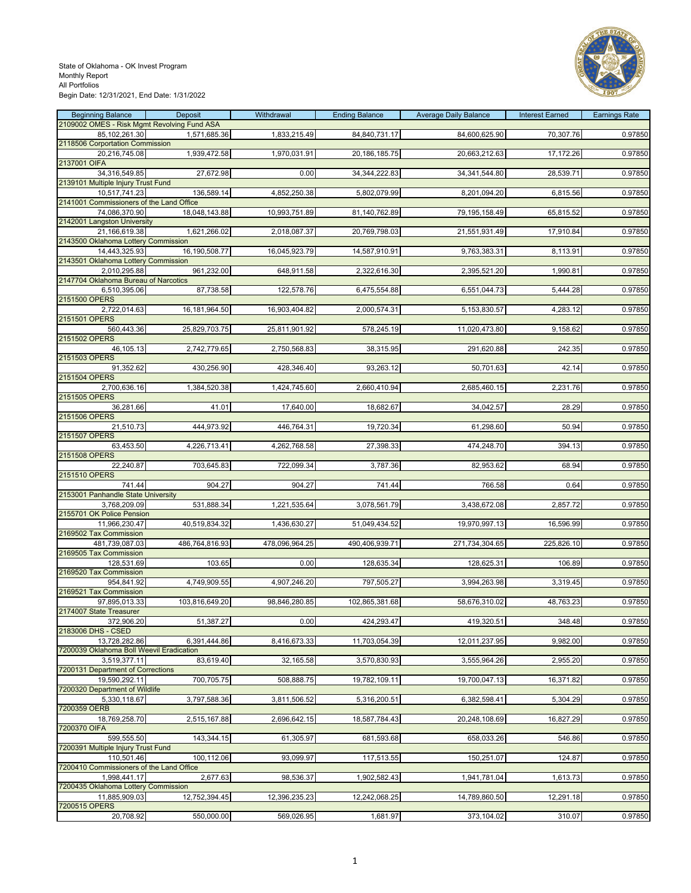

| <b>Beginning Balance</b>                                     | Deposit        | Withdrawal     | <b>Ending Balance</b> | <b>Average Daily Balance</b> | <b>Interest Earned</b> | <b>Earnings Rate</b> |
|--------------------------------------------------------------|----------------|----------------|-----------------------|------------------------------|------------------------|----------------------|
| 2109002 OMES - Risk Mgmt Revolving Fund ASA<br>85,102,261.30 | 1,571,685.36   | 1,833,215.49   | 84,840,731.17         | 84,600,625.90                | 70,307.76              | 0.97850              |
| 2118506 Corportation Commission                              |                |                |                       |                              |                        |                      |
| 20,216,745.08<br>2137001 OIFA                                | 1,939,472.58   | 1,970,031.91   | 20, 186, 185. 75      | 20,663,212.63                | 17,172.26              | 0.97850              |
| 34,316,549.85                                                | 27,672.98      | 0.00           | 34, 344, 222.83       | 34, 341, 544.80              | 28,539.71              | 0.97850              |
| 2139101 Multiple Injury Trust Fund                           |                |                | 5,802,079.99          | 8,201,094.20                 | 6,815.56               |                      |
| 10,517,741.23<br>2141001 Commissioners of the Land Office    | 136,589.14     | 4,852,250.38   |                       |                              |                        | 0.97850              |
| 74,086,370.90                                                | 18,048,143.88  | 10,993,751.89  | 81,140,762.89         | 79, 195, 158.49              | 65,815.52              | 0.97850              |
| 2142001 Langston University<br>21,166,619.38                 | 1,621,266.02   | 2,018,087.37   | 20,769,798.03         | 21,551,931.49                | 17,910.84              | 0.97850              |
| 2143500 Oklahoma Lottery Commission                          |                |                |                       |                              |                        |                      |
| 14,443,325.93<br>2143501 Oklahoma Lottery Commission         | 16,190,508.77  | 16,045,923.79  | 14,587,910.91         | 9,763,383.31                 | 8,113.91               | 0.97850              |
| 2,010,295.88                                                 | 961,232.00     | 648,911.58     | 2,322,616.30          | 2,395,521.20                 | 1,990.81               | 0.97850              |
| 2147704 Oklahoma Bureau of Narcotics                         |                |                |                       |                              |                        |                      |
| 6,510,395.06<br>2151500 OPERS                                | 87,738.58      | 122,578.76     | 6,475,554.88          | 6,551,044.73                 | 5,444.28               | 0.97850              |
| 2,722,014.63                                                 | 16,181,964.50  | 16,903,404.82  | 2,000,574.31          | 5,153,830.57                 | 4,283.12               | 0.97850              |
| 2151501 OPERS                                                |                |                |                       |                              |                        |                      |
| 560,443.36<br>2151502 OPERS                                  | 25,829,703.75  | 25,811,901.92  | 578,245.19            | 11,020,473.80                | 9,158.62               | 0.97850              |
| 46,105.13                                                    | 2,742,779.65   | 2,750,568.83   | 38,315.95             | 291,620.88                   | 242.35                 | 0.97850              |
| 2151503 OPERS<br>91,352.62                                   | 430,256.90     | 428,346.40     | 93,263.12             | 50,701.63                    | 42.14                  | 0.97850              |
| 2151504 OPERS                                                |                |                |                       |                              |                        |                      |
| 2,700,636.16<br>2151505 OPERS                                | 1,384,520.38   | 1,424,745.60   | 2,660,410.94          | 2,685,460.15                 | 2,231.76               | 0.97850              |
| 36,281.66                                                    | 41.01          | 17,640.00      | 18,682.67             | 34,042.57                    | 28.29                  | 0.97850              |
| 2151506 OPERS                                                |                |                |                       |                              |                        |                      |
| 21,510.73<br>2151507 OPERS                                   | 444,973.92     | 446,764.31     | 19,720.34             | 61,298.60                    | 50.94                  | 0.97850              |
| 63,453.50                                                    | 4,226,713.41   | 4,262,768.58   | 27,398.33             | 474,248.70                   | 394.13                 | 0.97850              |
| 2151508 OPERS                                                |                |                |                       |                              |                        |                      |
| 22,240.87<br>2151510 OPERS                                   | 703,645.83     | 722,099.34     | 3,787.36              | 82,953.62                    | 68.94                  | 0.97850              |
| 741.44                                                       | 904.27         | 904.27         | 741.44                | 766.58                       | 0.64                   | 0.97850              |
| 2153001 Panhandle State University<br>3,768,209.09           | 531,888.34     | 1,221,535.64   | 3,078,561.79          | 3,438,672.08                 | 2,857.72               | 0.97850              |
| 2155701 OK Police Pension                                    |                |                |                       |                              |                        |                      |
| 11,966,230.47<br>2169502 Tax Commission                      | 40,519,834.32  | 1,436,630.27   | 51,049,434.52         | 19,970,997.13                | 16,596.99              | 0.97850              |
| 481,739,087.03                                               | 486,764,816.93 | 478,096,964.25 | 490,406,939.71        | 271,734,304.65               | 225,826.10             | 0.97850              |
| 2169505 Tax Commission                                       |                |                |                       |                              |                        |                      |
| 128,531.69<br>2169520 Tax Commission                         | 103.65         | 0.00           | 128,635.34            | 128,625.31                   | 106.89                 | 0.97850              |
| 954,841.92                                                   | 4,749,909.55   | 4,907,246.20   | 797,505.27            | 3,994,263.98                 | 3,319.45               | 0.97850              |
| 2169521 Tax Commission<br>97,895,013.33                      | 103,816,649.20 | 98,846,280.85  | 102,865,381.68        | 58,676,310.02                | 48,763.23              | 0.97850              |
| 2174007 State Treasurer                                      |                |                |                       |                              |                        |                      |
| 372,906.20                                                   | 51,387.27      | 0.00           | 424,293.47            | 419,320.51                   | 348.48                 | 0.97850              |
| 2183006 DHS - CSED<br>13,728,282.86                          | 6,391,444.86   | 8,416,673.33   | 11,703,054.39         | 12,011,237.95                | 9,982.00               | 0.97850              |
| 7200039 Oklahoma Boll Weevil Eradication                     |                |                |                       |                              |                        |                      |
| 3,519,377.11<br>7200131 Department of Corrections            | 83,619.40      | 32,165.58      | 3,570,830.93          | 3,555,964.26                 | 2,955.20               | 0.97850              |
| 19.590.292.11                                                | 700,705.75     | 508,888.75     | 19,782,109.11         | 19,700,047.13                | 16,371.82              | 0.97850              |
| 7200320 Department of Wildlife                               |                |                |                       |                              |                        |                      |
| 5,330,118.67<br>7200359 OERB                                 | 3,797,588.36   | 3,811,506.52   | 5,316,200.51          | 6,382,598.41                 | 5,304.29               | 0.97850              |
| 18,769,258.70                                                | 2,515,167.88   | 2,696,642.15   | 18,587,784.43         | 20,248,108.69                | 16,827.29              | 0.97850              |
| 7200370 OIFA<br>599,555.50                                   | 143,344.15     | 61,305.97      | 681,593.68            | 658,033.26                   | 546.86                 | 0.97850              |
| 7200391 Multiple Injury Trust Fund                           |                |                |                       |                              |                        |                      |
| 110,501.46                                                   | 100,112.06     | 93,099.97      | 117,513.55            | 150,251.07                   | 124.87                 | 0.97850              |
| 7200410 Commissioners of the Land Office<br>1,998,441.17     | 2,677.63       | 98,536.37      | 1,902,582.43          | 1,941,781.04                 | 1,613.73               | 0.97850              |
| 7200435 Oklahoma Lottery Commission                          |                |                |                       |                              |                        |                      |
| 11,885,909.03<br>7200515 OPERS                               | 12,752,394.45  | 12,396,235.23  | 12,242,068.25         | 14,789,860.50                | 12,291.18              | 0.97850              |
| 20,708.92                                                    | 550,000.00     | 569,026.95     | 1,681.97              | 373,104.02                   | 310.07                 | 0.97850              |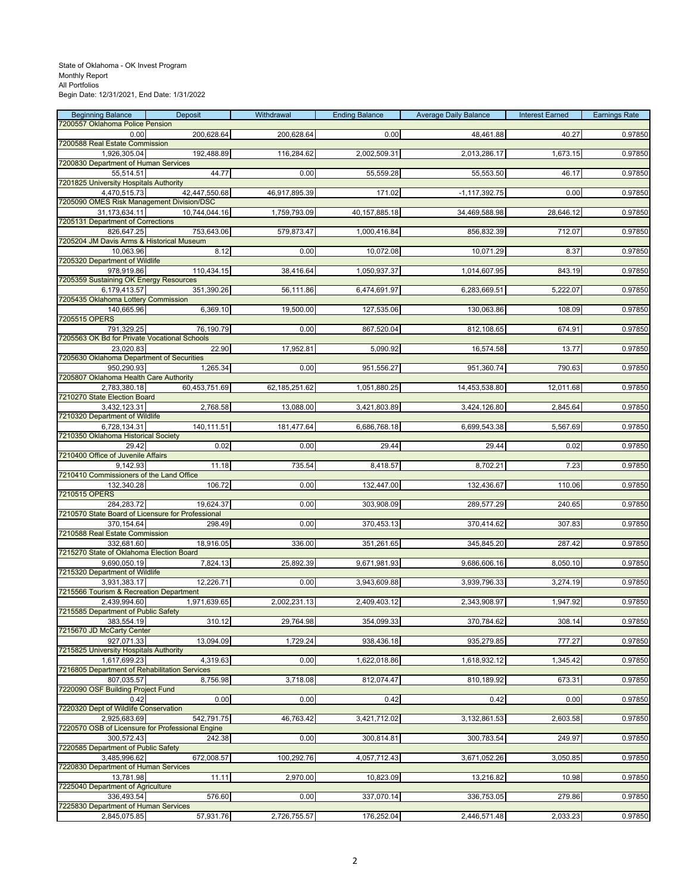| <b>Beginning Balance</b><br>7200557 Oklahoma Police Pension | Deposit       | Withdrawal       | <b>Ending Balance</b> | <b>Average Daily Balance</b> | <b>Interest Earned</b> | <b>Earnings Rate</b> |
|-------------------------------------------------------------|---------------|------------------|-----------------------|------------------------------|------------------------|----------------------|
| 0.00                                                        | 200,628.64    | 200,628.64       | 0.00                  | 48,461.88                    | 40.27                  | 0.97850              |
| 7200588 Real Estate Commission                              |               |                  |                       |                              |                        |                      |
| 1,926,305.04<br>7200830 Department of Human Services        | 192,488.89    | 116,284.62       | 2,002,509.31          | 2,013,286.17                 | 1,673.15               | 0.97850              |
| 55,514.51                                                   | 44.77         | 0.00             | 55,559.28             | 55,553.50                    | 46.17                  | 0.97850              |
| 7201825 University Hospitals Authority                      |               |                  |                       | $-1, 117, 392.75$            |                        |                      |
| 4,470,515.73<br>7205090 OMES Risk Management Division/DSC   | 42,447,550.68 | 46,917,895.39    | 171.02                |                              | 0.00                   | 0.97850              |
| 31,173,634.11                                               | 10,744,044.16 | 1,759,793.09     | 40, 157, 885. 18      | 34,469,588.98                | 28,646.12              | 0.97850              |
| 7205131 Department of Corrections<br>826,647.25             | 753,643.06    | 579,873.47       | 1,000,416.84          | 856,832.39                   | 712.07                 | 0.97850              |
| 7205204 JM Davis Arms & Historical Museum                   |               |                  |                       |                              |                        |                      |
| 10,063.96<br>7205320 Department of Wildlife                 | 8.12          | 0.00             | 10,072.08             | 10,071.29                    | 8.37                   | 0.97850              |
| 978.919.86                                                  | 110,434.15    | 38,416.64        | 1,050,937.37          | 1,014,607.95                 | 843.19                 | 0.97850              |
| 7205359 Sustaining OK Energy Resources                      |               |                  |                       |                              |                        |                      |
| 6,179,413.57<br>7205435 Oklahoma Lottery Commission         | 351,390.26    | 56,111.86        | 6,474,691.97          | 6,283,669.51                 | 5,222.07               | 0.97850              |
| 140,665.96                                                  | 6,369.10      | 19,500.00        | 127,535.06            | 130,063.86                   | 108.09                 | 0.97850              |
| 7205515 OPERS                                               |               |                  |                       |                              |                        |                      |
| 791,329.25<br>7205563 OK Bd for Private Vocational Schools  | 76,190.79     | 0.00             | 867,520.04            | 812,108.65                   | 674.91                 | 0.97850              |
| 23,020.83                                                   | 22.90         | 17,952.81        | 5,090.92              | 16,574.58                    | 13.77                  | 0.97850              |
| 7205630 Oklahoma Department of Securities<br>950,290.93     | 1,265.34      | 0.00             | 951,556.27            | 951,360.74                   | 790.63                 | 0.97850              |
| 7205807 Oklahoma Health Care Authority                      |               |                  |                       |                              |                        |                      |
| 2,783,380.18                                                | 60,453,751.69 | 62, 185, 251. 62 | 1,051,880.25          | 14,453,538.80                | 12,011.68              | 0.97850              |
| 7210270 State Election Board<br>3,432,123.31                | 2,768.58      | 13,088.00        | 3,421,803.89          | 3,424,126.80                 | 2,845.64               | 0.97850              |
| 7210320 Department of Wildlife                              |               |                  |                       |                              |                        |                      |
| 6,728,134.31<br>7210350 Oklahoma Historical Society         | 140,111.51    | 181,477.64       | 6,686,768.18          | 6,699,543.38                 | 5,567.69               | 0.97850              |
| 29.42                                                       | 0.02          | 0.00             | 29.44                 | 29.44                        | 0.02                   | 0.97850              |
| 7210400 Office of Juvenile Affairs                          |               |                  |                       |                              |                        |                      |
| 9,142.93<br>7210410 Commissioners of the Land Office        | 11.18         | 735.54           | 8,418.57              | 8,702.21                     | 7.23                   | 0.97850              |
| 132,340.28                                                  | 106.72        | 0.00             | 132,447.00            | 132,436.67                   | 110.06                 | 0.97850              |
| 7210515 OPERS<br>284,283.72                                 | 19,624.37     | 0.00             | 303,908.09            | 289,577.29                   | 240.65                 | 0.97850              |
| 7210570 State Board of Licensure for Professional           |               |                  |                       |                              |                        |                      |
| 370,154.64                                                  | 298.49        | 0.00             | 370,453.13            | 370,414.62                   | 307.83                 | 0.97850              |
| 7210588 Real Estate Commission<br>332,681.60                | 18,916.05     | 336.00           | 351,261.65            | 345,845.20                   | 287.42                 | 0.97850              |
| 7215270 State of Oklahoma Election Board                    |               |                  |                       |                              |                        |                      |
| 9,690,050.19<br>7215320 Department of Wildlife              | 7,824.13      | 25,892.39        | 9,671,981.93          | 9,686,606.16                 | 8,050.10               | 0.97850              |
| 3,931,383.17                                                | 12,226.71     | 0.00             | 3,943,609.88          | 3,939,796.33                 | 3,274.19               | 0.97850              |
| 7215566 Tourism & Recreation Department                     |               |                  |                       |                              |                        |                      |
| 2,439,994.60<br>7215585 Department of Public Safety         | 1,971,639.65  | 2,002,231.13     | 2,409,403.12          | 2,343,908.97                 | 1,947.92               | 0.97850              |
| 383,554.19                                                  | 310.12        | 29,764.98        | 354,099.33            | 370,784.62                   | 308.14                 | 0.97850              |
| 7215670 JD McCarty Center<br>927,071.33                     | 13,094.09     | 1,729.24         | 938,436.18            | 935,279.85                   | 777.27                 | 0.97850              |
| 7215825 University Hospitals Authority                      |               |                  |                       |                              |                        |                      |
| 1,617,699.23                                                | 4,319.63      | 0.00             | 1,622,018.86          | 1,618,932.12                 | 1,345.42               | 0.97850              |
| 7216805 Department of Rehabilitation Services<br>807,035.57 | 8,756.98      | 3,718.08         | 812,074.47            | 810,189.92                   | 673.31                 | 0.97850              |
| 7220090 OSF Building Project Fund                           |               |                  |                       |                              |                        |                      |
| 0.42<br>7220320 Dept of Wildlife Conservation               | 0.00          | 0.00             | 0.42                  | 0.42                         | 0.00                   | 0.97850              |
| 2,925,683.69                                                | 542,791.75    | 46,763.42        | 3,421,712.02          | 3,132,861.53                 | 2,603.58               | 0.97850              |
| 7220570 OSB of Licensure for Professional Engine            |               |                  |                       |                              |                        |                      |
| 300,572.43<br>7220585 Department of Public Safety           | 242.38        | 0.00             | 300,814.81            | 300,783.54                   | 249.97                 | 0.97850              |
| 3,485,996.62                                                | 672,008.57    | 100,292.76       | 4,057,712.43          | 3,671,052.26                 | 3,050.85               | 0.97850              |
| 7220830 Department of Human Services<br>13,781.98           | 11.11         | 2,970.00         | 10,823.09             | 13,216.82                    | 10.98                  | 0.97850              |
| 7225040 Department of Agriculture                           |               |                  |                       |                              |                        |                      |
| 336,493.54                                                  | 576.60        | 0.00             | 337,070.14            | 336,753.05                   | 279.86                 | 0.97850              |
| 7225830 Department of Human Services<br>2,845,075.85        | 57,931.76     | 2,726,755.57     | 176,252.04            | 2,446,571.48                 | 2,033.23               | 0.97850              |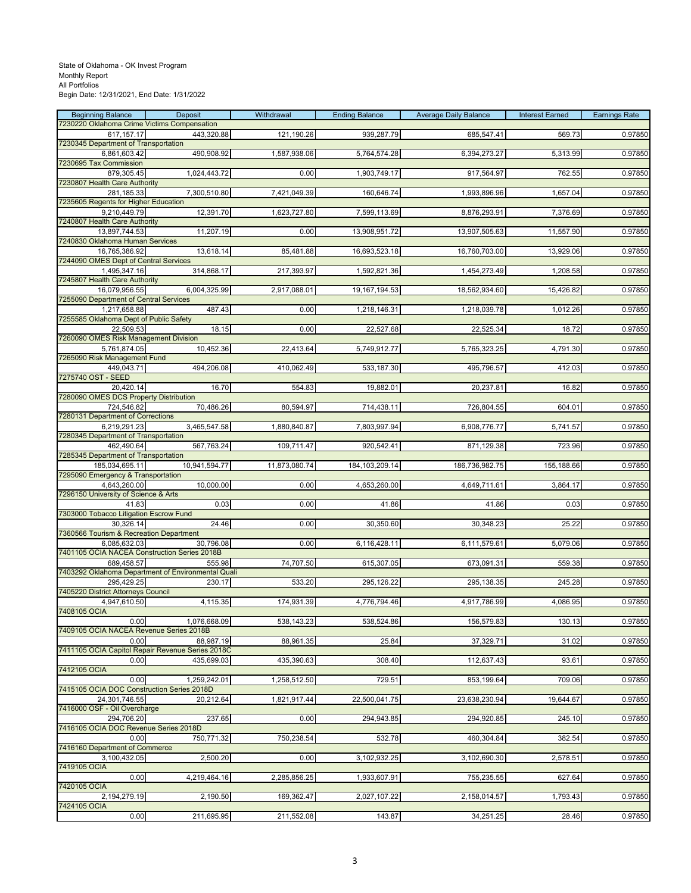| <b>Beginning Balance</b>                                          | Deposit                                            | Withdrawal    | <b>Ending Balance</b> | <b>Average Daily Balance</b> | <b>Interest Earned</b> | <b>Earnings Rate</b> |
|-------------------------------------------------------------------|----------------------------------------------------|---------------|-----------------------|------------------------------|------------------------|----------------------|
| 7230220 Oklahoma Crime Victims Compensation<br>617, 157. 17       | 443,320.88                                         | 121,190.26    | 939,287.79            | 685,547.41                   | 569.73                 | 0.97850              |
| 7230345 Department of Transportation                              |                                                    |               |                       |                              |                        |                      |
| 6,861,603.42                                                      | 490,908.92                                         | 1,587,938.06  | 5,764,574.28          | 6,394,273.27                 | 5,313.99               | 0.97850              |
| 7230695 Tax Commission<br>879,305.45                              | 1,024,443.72                                       | 0.00          | 1,903,749.17          | 917,564.97                   | 762.55                 | 0.97850              |
| 7230807 Health Care Authority                                     |                                                    |               |                       |                              |                        |                      |
| 281,185.33                                                        | 7,300,510.80                                       | 7,421,049.39  | 160,646.74            | 1,993,896.96                 | 1,657.04               | 0.97850              |
| 7235605 Regents for Higher Education<br>$\overline{9,2}10,449.79$ |                                                    |               |                       |                              |                        |                      |
| 7240807 Health Care Authority                                     | 12,391.70                                          | 1,623,727.80  | 7,599,113.69          | 8,876,293.91                 | 7,376.69               | 0.97850              |
| 13,897,744.53                                                     | 11,207.19                                          | 0.00          | 13,908,951.72         | 13,907,505.63                | 11,557.90              | 0.97850              |
| 7240830 Oklahoma Human Services                                   |                                                    |               |                       |                              |                        |                      |
| 16,765,386.92<br>7244090 OMES Dept of Central Services            | 13,618.14                                          | 85,481.88     | 16,693,523.18         | 16,760,703.00                | 13,929.06              | 0.97850              |
| 1,495,347.16                                                      | 314,868.17                                         | 217,393.97    | 1,592,821.36          | 1,454,273.49                 | 1,208.58               | 0.97850              |
| 7245807 Health Care Authority                                     |                                                    |               |                       |                              |                        |                      |
| 16,079,956.55                                                     | 6,004,325.99                                       | 2,917,088.01  | 19, 167, 194.53       | 18,562,934.60                | 15,426.82              | 0.97850              |
| 7255090 Department of Central Services<br>1,217,658.88            | 487.43                                             | 0.00          | 1,218,146.31          | 1,218,039.78                 | 1,012.26               | 0.97850              |
| 7255585 Oklahoma Dept of Public Safety                            |                                                    |               |                       |                              |                        |                      |
| 22,509.53                                                         | 18.15                                              | 0.00          | 22,527.68             | 22,525.34                    | 18.72                  | 0.97850              |
| 7260090 OMES Risk Management Division<br>5,761,874.05             | 10,452.36                                          | 22,413.64     | 5,749,912.77          | 5,765,323.25                 | 4,791.30               | 0.97850              |
| 7265090 Risk Management Fund                                      |                                                    |               |                       |                              |                        |                      |
| 449,043.71                                                        | 494,206.08                                         | 410,062.49    | 533,187.30            | 495,796.57                   | 412.03                 | 0.97850              |
| 7275740 OST - SEED<br>20,420.14                                   | 16.70                                              | 554.83        | 19,882.01             | 20,237.81                    | 16.82                  | 0.97850              |
| 7280090 OMES DCS Property Distribution                            |                                                    |               |                       |                              |                        |                      |
| 724,546.82                                                        | 70,486.26                                          | 80,594.97     | 714,438.11            | 726,804.55                   | 604.01                 | 0.97850              |
| 7280131 Department of Corrections                                 |                                                    |               |                       |                              |                        |                      |
| 6,219,291.23<br>7280345 Department of Transportation              | 3,465,547.58                                       | 1,880,840.87  | 7,803,997.94          | 6,908,776.77                 | 5,741.57               | 0.97850              |
| 462,490.64                                                        | 567,763.24                                         | 109,711.47    | 920,542.41            | 871,129.38                   | 723.96                 | 0.97850              |
| 7285345 Department of Transportation                              |                                                    |               |                       |                              |                        |                      |
| 185,034,695.11<br>7295090 Emergency & Transportation              | 10,941,594.77                                      | 11,873,080.74 | 184, 103, 209. 14     | 186,736,982.75               | 155,188.66             | 0.97850              |
| 4,643,260.00                                                      | 10,000.00                                          | 0.00          | 4,653,260.00          | 4,649,711.61                 | 3,864.17               | 0.97850              |
| 7296150 University of Science & Arts                              |                                                    |               |                       |                              |                        |                      |
| 41.83<br>7303000 Tobacco Litigation Escrow Fund                   | 0.03                                               | 0.00          | 41.86                 | 41.86                        | 0.03                   | 0.97850              |
| 30,326.14                                                         | 24.46                                              | 0.00          | 30,350.60             | 30,348.23                    | 25.22                  | 0.97850              |
| 7360566 Tourism & Recreation Department                           |                                                    |               |                       |                              |                        |                      |
| 6,085,632.03                                                      | 30,796.08                                          | 0.00          | 6,116,428.11          | 6,111,579.61                 | 5,079.06               | 0.97850              |
| 7401105 OCIA NACEA Construction Series 2018B<br>689,458.57        | 555.98                                             | 74,707.50     | 615,307.05            | 673,091.31                   | 559.38                 | 0.97850              |
|                                                                   | 7403292 Oklahoma Department of Environmental Quali |               |                       |                              |                        |                      |
| 295,429.25                                                        | 230.17                                             | 533.20        | 295,126.22            | 295,138.35                   | 245.28                 | 0.97850              |
| 7405220 District Attorneys Council<br>4,947,610.50                | 4,115.35                                           | 174,931.39    | 4,776,794.46          | 4,917,786.99                 | 4,086.95               | 0.97850              |
| 7408105 OCIA                                                      |                                                    |               |                       |                              |                        |                      |
| 0.00                                                              | 1,076,668.09                                       | 538,143.23    | 538,524.86            | 156,579.83                   | 130.13                 | 0.97850              |
| 7409105 OCIA NACEA Revenue Series 2018B<br>0.00                   | 88,987.19                                          | 88,961.35     | 25.84                 | 37,329.71                    | 31.02                  | 0.97850              |
| 7411105 OCIA Capitol Repair Revenue Series 2018C                  |                                                    |               |                       |                              |                        |                      |
| 0.00                                                              | 435,699.03                                         | 435,390.63    | 308.40                | 112,637.43                   | 93.61                  | 0.97850              |
| 7412105 OCIA                                                      |                                                    |               |                       |                              |                        |                      |
| 0.00<br>7415105 OCIA DOC Construction Series 2018D                | 1,259,242.01                                       | 1,258,512.50  | 729.51                | 853,199.64                   | 709.06                 | 0.97850              |
| 24,301,746.55                                                     | 20,212.64                                          | 1,821,917.44  | 22,500,041.75         | 23,638,230.94                | 19,644.67              | 0.97850              |
| 7416000 OSF - Oil Overcharge                                      |                                                    |               |                       |                              |                        |                      |
| 294,706.20<br>7416105 OCIA DOC Revenue Series 2018D               | 237.65                                             | 0.00          | 294,943.85            | 294,920.85                   | 245.10                 | 0.97850              |
| 0.00                                                              | 750,771.32                                         | 750,238.54    | 532.78                | 460,304.84                   | 382.54                 | 0.97850              |
| 7416160 Department of Commerce                                    |                                                    |               |                       |                              |                        |                      |
| 3,100,432.05                                                      | 2,500.20                                           | 0.00          | 3,102,932.25          | 3,102,690.30                 | 2,578.51               | 0.97850              |
| 7419105 OCIA<br>0.00                                              | 4,219,464.16                                       | 2,285,856.25  | 1,933,607.91          | 755,235.55                   | 627.64                 | 0.97850              |
| 7420105 OCIA                                                      |                                                    |               |                       |                              |                        |                      |
| 2,194,279.19                                                      | 2,190.50                                           | 169,362.47    | 2,027,107.22          | 2,158,014.57                 | 1,793.43               | 0.97850              |
| 7424105 OCIA<br>0.00                                              | 211,695.95                                         | 211,552.08    | 143.87                | 34,251.25                    | 28.46                  | 0.97850              |
|                                                                   |                                                    |               |                       |                              |                        |                      |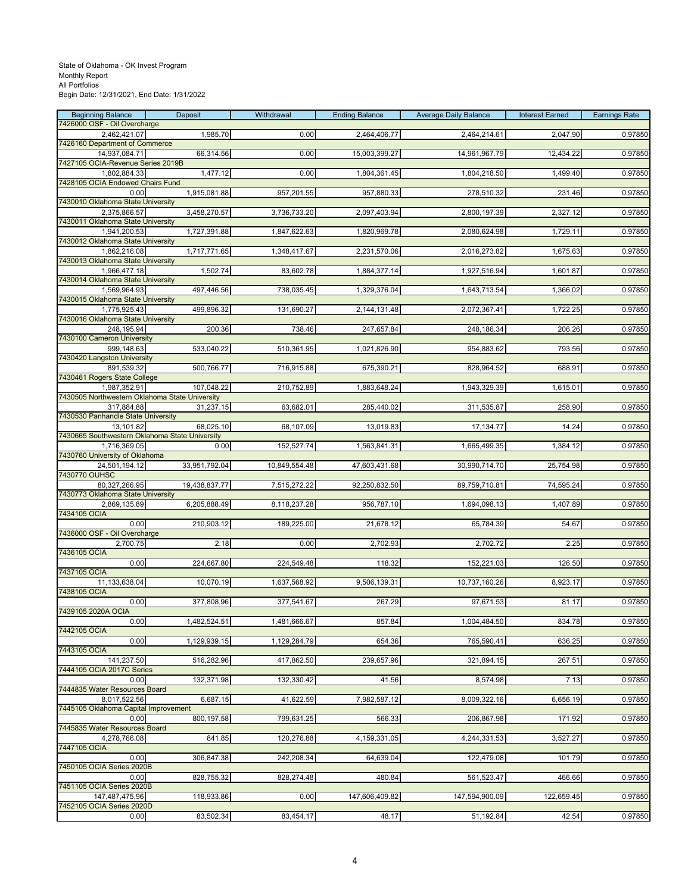| <b>Beginning Balance</b>                                     | Deposit       | Withdrawal    | <b>Ending Balance</b> | <b>Average Daily Balance</b> | <b>Interest Earned</b> | <b>Earnings Rate</b> |
|--------------------------------------------------------------|---------------|---------------|-----------------------|------------------------------|------------------------|----------------------|
| 7426000 OSF - Oil Overcharge<br>2,462,421.07                 | 1,985.70      | 0.00          | 2,464,406.77          | 2,464,214.61                 | 2,047.90               | 0.97850              |
| 7426160 Department of Commerce                               |               |               |                       |                              |                        |                      |
| 14,937,084.71<br>7427105 OCIA-Revenue Series 2019B           | 66,314.56     | 0.00          | 15,003,399.27         | 14,961,967.79                | 12,434.22              | 0.97850              |
| 1,802,884.33                                                 | 1,477.12      | 0.00          | 1,804,361.45          | 1,804,218.50                 | 1,499.40               | 0.97850              |
| 7428105 OCIA Endowed Chairs Fund<br>0.00                     | 1,915,081.88  | 957,201.55    | 957,880.33            | 278,510.32                   | 231.46                 | 0.97850              |
| 7430010 Oklahoma State University                            |               |               |                       |                              |                        |                      |
| 2,375,866.57<br>7430011 Oklahoma State University            | 3,458,270.57  | 3,736,733.20  | 2,097,403.94          | 2,800,197.39                 | 2,327.12               | 0.97850              |
| 1,941,200.53                                                 | 1,727,391.88  | 1,847,622.63  | 1,820,969.78          | 2,080,624.98                 | 1,729.11               | 0.97850              |
| 7430012 Oklahoma State University<br>1,862,216.08            | 1,717,771.65  | 1,348,417.67  | 2,231,570.06          | 2,016,273.82                 | 1,675.63               | 0.97850              |
| 7430013 Oklahoma State University                            |               |               |                       |                              |                        |                      |
| 1,966,477.18<br>7430014 Oklahoma State University            | 1,502.74      | 83,602.78     | 1,884,377.14          | 1,927,516.94                 | 1,601.87               | 0.97850              |
| 1,569,964.93                                                 | 497,446.56    | 738,035.45    | 1,329,376.04          | 1,643,713.54                 | 1,366.02               | 0.97850              |
| 7430015 Oklahoma State University                            |               |               |                       |                              |                        |                      |
| 1,775,925.43<br>7430016 Oklahoma State University            | 499,896.32    | 131,690.27    | 2,144,131.48          | 2,072,367.41                 | 1,722.25               | 0.97850              |
| 248,195.94                                                   | 200.36        | 738.46        | 247,657.84            | 248,186.34                   | 206.26                 | 0.97850              |
| 7430100 Cameron University<br>999,148.63                     | 533,040.22    | 510,361.95    | 1,021,826.90          | 954,883.62                   | 793.56                 | 0.97850              |
| 7430420 Langston University                                  |               |               |                       |                              |                        |                      |
| 891,539.32<br>7430461 Rogers State College                   | 500,766.77    | 716,915.88    | 675,390.21            | 828,964.52                   | 688.91                 | 0.97850              |
| 1,987,352.91                                                 | 107,048.22    | 210,752.89    | 1,883,648.24          | 1,943,329.39                 | 1,615.01               | 0.97850              |
| 7430505 Northwestern Oklahoma State University<br>317,884.88 | 31,237.15     | 63,682.01     | 285,440.02            | 311,535.87                   | 258.90                 | 0.97850              |
| 7430530 Panhandle State University                           |               |               |                       |                              |                        |                      |
| 13,101.82<br>7430665 Southwestern Oklahoma State University  | 68,025.10     | 68,107.09     | 13,019.83             | 17, 134. 77                  | 14.24                  | 0.97850              |
| 1,716,369.05                                                 | 0.00          | 152,527.74    | 1,563,841.31          | 1,665,499.35                 | 1,384.12               | 0.97850              |
| 7430760 University of Oklahoma<br>24,501,194.12              | 33,951,792.04 | 10,849,554.48 | 47,603,431.68         | 30,990,714.70                | 25,754.98              | 0.97850              |
| 7430770 OUHSC                                                |               |               |                       |                              |                        |                      |
| 80,327,266.95<br>7430773 Oklahoma State University           | 19,438,837.77 | 7,515,272.22  | 92,250,832.50         | 89,759,710.81                | 74,595.24              | 0.97850              |
| 2,869,135.89                                                 | 6,205,888.49  | 8,118,237.28  | 956,787.10            | 1,694,098.13                 | 1,407.89               | 0.97850              |
| 7434105 OCIA<br>0.00                                         | 210,903.12    | 189,225.00    | 21,678.12             | 65,784.39                    | 54.67                  | 0.97850              |
| 7436000 OSF - Oil Overcharge                                 |               |               |                       |                              |                        |                      |
| 2,700.75<br>7436105 OCIA                                     | 2.18          | 0.00          | 2,702.93              | 2,702.72                     | 2.25                   | 0.97850              |
| 0.00                                                         | 224,667.80    | 224,549.48    | 118.32                | 152,221.03                   | 126.50                 | 0.97850              |
| 7437105 OCIA<br>11,133,638.04                                | 10,070.19     | 1,637,568.92  | 9,506,139.31          | 10,737,160.26                | 8,923.17               | 0.97850              |
| 7438105 OCIA                                                 |               |               |                       |                              |                        |                      |
| 0.00<br>7439105 2020A OCIA                                   | 377,808.96    | 377,541.67    | 267.29                | 97,671.53                    | 81.17                  | 0.97850              |
| 0.00                                                         | 1,482,524.51  | 1,481,666.67  | 857.84                | 1,004,484.50                 | 834.78                 | 0.97850              |
| 7442105 OCIA<br>0.00                                         |               |               |                       |                              |                        | 0.97850              |
| 7443105 OCIA                                                 | 1,129,939.15  | 1,129,284.79  | 654.36                | 765,590.41                   | 636.25                 |                      |
| 141,237.50<br>7444105 OCIA 2017C Series                      | 516,282.96    | 417,862.50    | 239,657.96            | 321,894.15                   | 267.51                 | 0.97850              |
| 0.00                                                         | 132,371.98    | 132,330.42    | 41.56                 | 8,574.98                     | 7.13                   | 0.97850              |
| 7444835 Water Resources Board                                |               |               |                       |                              |                        |                      |
| 8,017,522.56<br>7445105 Oklahoma Capital Improvement         | 6,687.15      | 41,622.59     | 7,982,587.12          | 8,009,322.16                 | 6,656.19               | 0.97850              |
| 0.00                                                         | 800,197.58    | 799,631.25    | 566.33                | 206,867.98                   | 171.92                 | 0.97850              |
| 7445835 Water Resources Board<br>4,278,766.08                | 841.85        | 120,276.88    | 4,159,331.05          | 4,244,331.53                 | 3,527.27               | 0.97850              |
| 7447105 OCIA                                                 |               |               |                       |                              |                        |                      |
| 0.00<br>7450105 OCIA Series 2020B                            | 306,847.38    | 242,208.34    | 64,639.04             | 122,479.08                   | 101.79                 | 0.97850              |
| 0.00                                                         | 828,755.32    | 828,274.48    | 480.84                | 561,523.47                   | 466.66                 | 0.97850              |
| 7451105 OCIA Series 2020B<br>147,487,475.96                  | 118,933.86    | 0.00          | 147,606,409.82        | 147,594,900.09               | 122,659.45             | 0.97850              |
| 7452105 OCIA Series 2020D                                    |               |               |                       |                              |                        |                      |
| 0.00                                                         | 83,502.34     | 83,454.17     | 48.17                 | 51,192.84                    | 42.54                  | 0.97850              |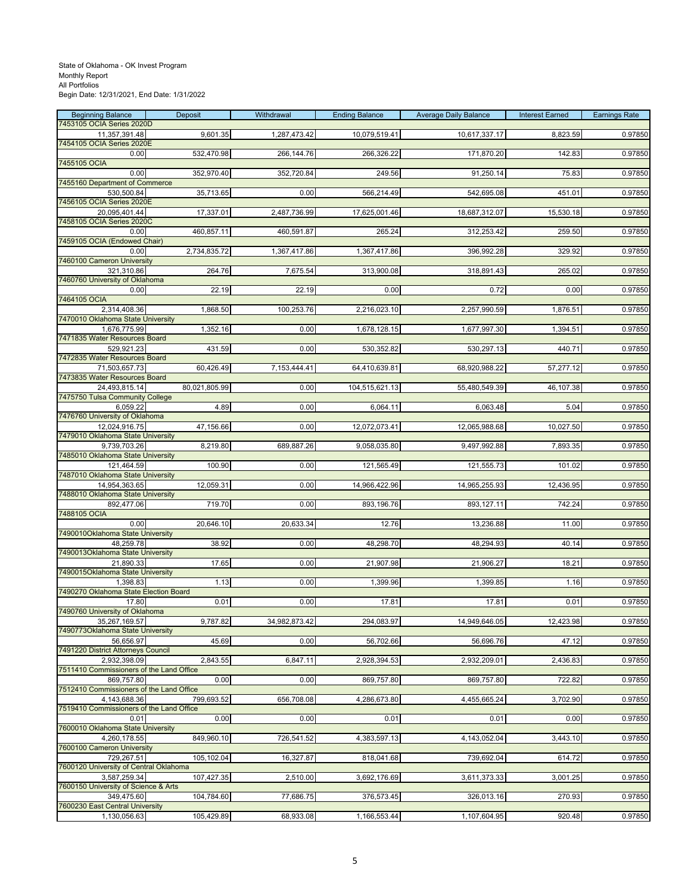| <b>Beginning Balance</b>                               | Deposit       | Withdrawal    | <b>Ending Balance</b> | <b>Average Daily Balance</b> | <b>Interest Earned</b> | <b>Earnings Rate</b> |
|--------------------------------------------------------|---------------|---------------|-----------------------|------------------------------|------------------------|----------------------|
| 7453105 OCIA Series 2020D<br>11,357,391.48             | 9,601.35      | 1,287,473.42  | 10,079,519.41         | 10,617,337.17                | 8,823.59               | 0.97850              |
| 7454105 OCIA Series 2020E                              |               |               |                       |                              |                        |                      |
| 0.00                                                   | 532,470.98    | 266,144.76    | 266,326.22            | 171,870.20                   | 142.83                 | 0.97850              |
| 7455105 OCIA<br>0.00                                   | 352,970.40    | 352,720.84    | 249.56                | 91,250.14                    | 75.83                  | 0.97850              |
| 7455160 Department of Commerce                         |               |               |                       |                              |                        |                      |
| 530,500.84                                             | 35,713.65     | 0.00          | 566,214.49            | 542,695.08                   | 451.01                 | 0.97850              |
| 7456105 OCIA Series 2020E                              |               |               |                       |                              |                        |                      |
| 20,095,401.44<br>7458105 OCIA Series 2020C             | 17,337.01     | 2,487,736.99  | 17,625,001.46         | 18,687,312.07                | 15,530.18              | 0.97850              |
| 0.00                                                   | 460,857.11    | 460,591.87    | 265.24                | 312,253.42                   | 259.50                 | 0.97850              |
| 7459105 OCIA (Endowed Chair)                           |               |               |                       |                              |                        |                      |
| 0.00<br>7460100 Cameron University                     | 2,734,835.72  | 1,367,417.86  | 1,367,417.86          | 396,992.28                   | 329.92                 | 0.97850              |
| 321,310.86                                             | 264.76        | 7,675.54      | 313,900.08            | 318,891.43                   | 265.02                 | 0.97850              |
| 7460760 University of Oklahoma                         |               |               |                       |                              |                        |                      |
| 0.00<br>7464105 OCIA                                   | 22.19         | 22.19         | 0.00                  | 0.72                         | 0.00                   | 0.97850              |
| 2,314,408.36                                           | 1,868.50      | 100,253.76    | 2,216,023.10          | 2,257,990.59                 | 1,876.51               | 0.97850              |
| 7470010 Oklahoma State University                      |               |               |                       |                              |                        |                      |
| 1,676,775.99                                           | 1,352.16      | 0.00          | 1,678,128.15          | 1,677,997.30                 | 1,394.51               | 0.97850              |
| 7471835 Water Resources Board<br>529,921.23            | 431.59        | 0.00          | 530,352.82            | 530,297.13                   | 440.71                 | 0.97850              |
| 7472835 Water Resources Board                          |               |               |                       |                              |                        |                      |
| 71.503.657.73                                          | 60,426.49     | 7,153,444.41  | 64,410,639.81         | 68,920,988.22                | 57,277.12              | 0.97850              |
| 7473835 Water Resources Board<br>24,493,815.14         | 80,021,805.99 | 0.00          | 104,515,621.13        | 55,480,549.39                | 46,107.38              | 0.97850              |
| 7475750 Tulsa Community College                        |               |               |                       |                              |                        |                      |
| 6,059.22                                               | 4.89          | 0.00          | 6,064.11              | 6,063.48                     | 5.04                   | 0.97850              |
| 7476760 University of Oklahoma                         |               | 0.00          |                       |                              | 10,027.50              |                      |
| 12,024,916.75<br>7479010 Oklahoma State University     | 47,156.66     |               | 12,072,073.41         | 12,065,988.68                |                        | 0.97850              |
| 9,739,703.26                                           | 8,219.80      | 689,887.26    | 9,058,035.80          | 9,497,992.88                 | 7,893.35               | 0.97850              |
| 7485010 Oklahoma State University                      |               |               |                       |                              |                        |                      |
| 121,464.59<br>7487010 Oklahoma State University        | 100.90        | 0.00          | 121,565.49            | 121,555.73                   | 101.02                 | 0.97850              |
| 14,954,363.65                                          | 12,059.31     | 0.00          | 14,966,422.96         | 14,965,255.93                | 12,436.95              | 0.97850              |
| 7488010 Oklahoma State University                      |               |               |                       |                              |                        |                      |
| 892,477.06<br>7488105 OCIA                             | 719.70        | 0.00          | 893,196.76            | 893,127.11                   | 742.24                 | 0.97850              |
| 0.00                                                   | 20,646.10     | 20,633.34     | 12.76                 | 13,236.88                    | 11.00                  | 0.97850              |
| 7490010Oklahoma State University                       |               |               |                       |                              |                        |                      |
| 48,259.78<br>7490013Oklahoma State University          | 38.92         | 0.00          | 48,298.70             | 48,294.93                    | 40.14                  | 0.97850              |
| 21,890.33                                              | 17.65         | 0.00          | 21,907.98             | 21,906.27                    | 18.21                  | 0.97850              |
| 7490015Oklahoma State University                       |               |               |                       |                              |                        |                      |
| 1,398.83<br>7490270 Oklahoma State Election Board      | 1.13          | 0.00          | 1,399.96              | 1,399.85                     | 1.16                   | 0.97850              |
| 17.80                                                  | 0.01          | 0.00          | 17.81                 | 17.81                        | 0.01                   | 0.97850              |
| 7490760 University of Oklahoma                         |               |               |                       |                              |                        |                      |
| 35,267,169.57                                          | 9,787.82      | 34,982,873.42 | 294,083.97            | 14,949,646.05                | 12,423.98              | 0.97850              |
| 7490773Oklahoma State University<br>56,656.97          | 45.69         | 0.00          | 56,702.66             | 56,696.76                    | 47.12                  | 0.97850              |
| 7491220 District Attorneys Council                     |               |               |                       |                              |                        |                      |
| 2,932,398.09                                           | 2,843.55      | 6,847.11      | 2,928,394.53          | 2,932,209.01                 | 2,436.83               | 0.97850              |
| 7511410 Commissioners of the Land Office<br>869,757.80 | 0.00          | 0.00          | 869,757.80            | 869,757.80                   | 722.82                 | 0.97850              |
| 7512410 Commissioners of the Land Office               |               |               |                       |                              |                        |                      |
| 4,143,688.36                                           | 799,693.52    | 656,708.08    | 4,286,673.80          | 4,455,665.24                 | 3,702.90               | 0.97850              |
| 7519410 Commissioners of the Land Office<br>0.01       | 0.00          | 0.00          | 0.01                  | 0.01                         | 0.00                   | 0.97850              |
| 7600010 Oklahoma State University                      |               |               |                       |                              |                        |                      |
| 4.260.178.55                                           | 849,960.10    | 726,541.52    | 4,383,597.13          | 4,143,052.04                 | 3,443.10               | 0.97850              |
| 7600100 Cameron University                             |               |               |                       |                              |                        |                      |
| 729.267.51<br>7600120 University of Central Oklahoma   | 105,102.04    | 16,327.87     | 818,041.68            | 739,692.04                   | 614.72                 | 0.97850              |
| 3,587,259.34                                           | 107,427.35    | 2,510.00      | 3,692,176.69          | 3,611,373.33                 | 3,001.25               | 0.97850              |
| 7600150 University of Science & Arts                   |               |               |                       |                              |                        |                      |
| 349,475.60<br>7600230 East Central University          | 104,784.60    | 77,686.75     | 376,573.45            | 326,013.16                   | 270.93                 | 0.97850              |
| 1,130,056.63                                           | 105,429.89    | 68,933.08     | 1,166,553.44          | 1,107,604.95                 | 920.48                 | 0.97850              |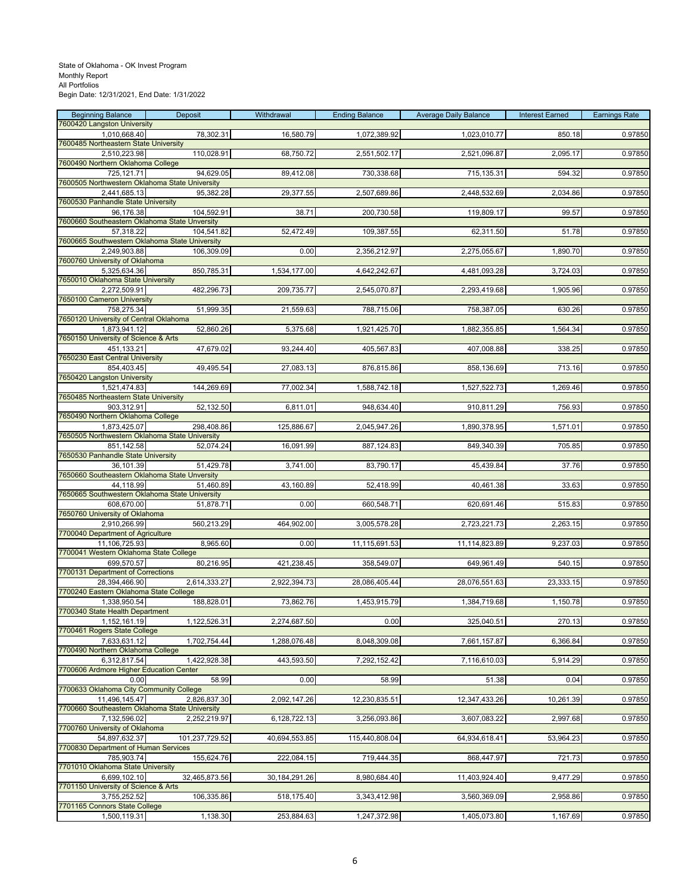| <b>Beginning Balance</b>                                     | Deposit        | Withdrawal       | <b>Ending Balance</b> | <b>Average Daily Balance</b> | <b>Interest Earned</b> | <b>Earnings Rate</b> |
|--------------------------------------------------------------|----------------|------------------|-----------------------|------------------------------|------------------------|----------------------|
| 7600420 Langston University<br>1,010,668.40                  | 78,302.31      | 16,580.79        | 1,072,389.92          | 1,023,010.77                 | 850.18                 | 0.97850              |
| 7600485 Northeastern State University                        |                |                  |                       |                              |                        |                      |
| 2,510,223.98                                                 | 110,028.91     | 68,750.72        | 2,551,502.17          | 2,521,096.87                 | 2,095.17               | 0.97850              |
| 7600490 Northern Oklahoma College                            |                |                  |                       |                              |                        |                      |
| 725,121.71<br>7600505 Northwestern Oklahoma State University | 94,629.05      | 89,412.08        | 730,338.68            | 715,135.31                   | 594.32                 | 0.97850              |
| 2,441,685.13                                                 | 95,382.28      | 29,377.55        | 2,507,689.86          | 2,448,532.69                 | 2,034.86               | 0.97850              |
| 7600530 Panhandle State University                           |                |                  |                       |                              |                        |                      |
| 96,176.38<br>7600660 Southeastern Oklahoma State Unversity   | 104,592.91     | 38.71            | 200,730.58            | 119,809.17                   | 99.57                  | 0.97850              |
| 57,318.22                                                    | 104,541.82     | 52,472.49        | 109,387.55            | 62,311.50                    | 51.78                  | 0.97850              |
| 7600665 Southwestern Oklahoma State University               |                |                  |                       |                              |                        |                      |
| 2,249,903.88                                                 | 106,309.09     | 0.00             | 2,356,212.97          | 2,275,055.67                 | 1,890.70               | 0.97850              |
| 7600760 University of Oklahoma<br>5,325,634.36               | 850,785.31     | 1,534,177.00     | 4,642,242.67          | 4,481,093.28                 |                        | 0.97850              |
| 7650010 Oklahoma State University                            |                |                  |                       |                              | 3,724.03               |                      |
| 2,272,509.91                                                 | 482,296.73     | 209,735.77       | 2,545,070.87          | 2,293,419.68                 | 1,905.96               | 0.97850              |
| 7650100 Cameron University                                   |                |                  |                       |                              |                        |                      |
| 758,275.34<br>7650120 University of Central Oklahoma         | 51,999.35      | 21,559.63        | 788,715.06            | 758,387.05                   | 630.26                 | 0.97850              |
| 1,873,941.12                                                 | 52,860.26      | 5,375.68         | 1,921,425.70          | 1,882,355.85                 | 1,564.34               | 0.97850              |
| 7650150 University of Science & Arts                         |                |                  |                       |                              |                        |                      |
| 451,133.21                                                   | 47,679.02      | 93,244.40        | 405,567.83            | 407,008.88                   | 338.25                 | 0.97850              |
| 7650230 East Central University<br>854,403.45                | 49,495.54      | 27,083.13        | 876,815.86            | 858,136.69                   | 713.16                 | 0.97850              |
| 7650420 Langston University                                  |                |                  |                       |                              |                        |                      |
| 1,521,474.83                                                 | 144,269.69     | 77,002.34        | 1,588,742.18          | 1,527,522.73                 | 1,269.46               | 0.97850              |
| 7650485 Northeastern State University                        |                |                  |                       |                              |                        |                      |
| 903,312.91<br>7650490 Northern Oklahoma College              | 52,132.50      | 6,811.01         | 948,634.40            | 910,811.29                   | 756.93                 | 0.97850              |
| 1,873,425.07                                                 | 298,408.86     | 125,886.67       | 2,045,947.26          | 1,890,378.95                 | 1,571.01               | 0.97850              |
| 7650505 Northwestern Oklahoma State University               |                |                  |                       |                              |                        |                      |
| 851,142.58                                                   | 52,074.24      | 16,091.99        | 887,124.83            | 849,340.39                   | 705.85                 | 0.97850              |
| 7650530 Panhandle State University<br>36,101.39              | 51,429.78      | 3,741.00         | 83,790.17             | 45,439.84                    | 37.76                  | 0.97850              |
| 7650660 Southeastern Oklahoma State Unversity                |                |                  |                       |                              |                        |                      |
| 44,118.99                                                    | 51,460.89      | 43,160.89        | 52,418.99             | 40,461.38                    | 33.63                  | 0.97850              |
| 7650665 Southwestern Oklahoma State University<br>608,670.00 |                | 0.00             |                       |                              |                        |                      |
| 7650760 University of Oklahoma                               | 51,878.71      |                  | 660,548.71            | 620,691.46                   | 515.83                 | 0.97850              |
| 2,910,266.99                                                 | 560,213.29     | 464,902.00       | 3,005,578.28          | 2,723,221.73                 | 2,263.15               | 0.97850              |
| 7700040 Department of Agriculture                            |                |                  |                       |                              |                        |                      |
| 11,106,725.93<br>7700041 Western Oklahoma State College      | 8,965.60       | 0.00             | 11,115,691.53         | 11,114,823.89                | 9,237.03               | 0.97850              |
| 699,570.57                                                   | 80,216.95      | 421,238.45       | 358,549.07            | 649,961.49                   | 540.15                 | 0.97850              |
| 7700131 Department of Corrections                            |                |                  |                       |                              |                        |                      |
| 28,394,466.90                                                | 2,614,333.27   | 2,922,394.73     | 28,086,405.44         | 28,076,551.63                | 23,333.15              | 0.97850              |
| 7700240 Eastern Oklahoma State College<br>1.338.950.54       | 188,828.01     | 73,862.76        | 1,453,915.79          | 1,384,719.68                 | 1,150.78               | 0.97850              |
| 7700340 State Health Department                              |                |                  |                       |                              |                        |                      |
| 1,152,161.19                                                 | 1,122,526.31   | 2,274,687.50     | 0.00                  | 325,040.51                   | 270.13                 | 0.97850              |
| 7700461 Rogers State College                                 |                |                  |                       |                              |                        | 0.97850              |
| 7,633,631.12<br>7700490 Northern Oklahoma College            | 1,702,754.44   | 1,288,076.48     | 8,048,309.08          | 7,661,157.87                 | 6,366.84               |                      |
| 6,312,817.54                                                 | 1,422,928.38   | 443,593.50       | 7,292,152.42          | 7,116,610.03                 | 5,914.29               | 0.97850              |
| 7700606 Ardmore Higher Education Center                      |                |                  |                       |                              |                        |                      |
| 0.00<br>7700633 Oklahoma City Community College              | 58.99          | 0.00             | 58.99                 | 51.38                        | 0.04                   | 0.97850              |
| 11.496.145.47                                                | 2,826,837.30   | 2,092,147.26     | 12,230,835.51         | 12,347,433.26                | 10,261.39              | 0.97850              |
| 7700660 Southeastern Oklahoma State University               |                |                  |                       |                              |                        |                      |
| 7,132,596.02                                                 | 2,252,219.97   | 6,128,722.13     | 3,256,093.86          | 3,607,083.22                 | 2,997.68               | 0.97850              |
| 7700760 University of Oklahoma<br>54,897,632.37              | 101,237,729.52 | 40,694,553.85    | 115,440,808.04        | 64,934,618.41                | 53,964.23              | 0.97850              |
| 7700830 Department of Human Services                         |                |                  |                       |                              |                        |                      |
| 785.903.74                                                   | 155,624.76     | 222,084.15       | 719,444.35            | 868,447.97                   | 721.73                 | 0.97850              |
| 7701010 Oklahoma State University                            |                |                  |                       |                              |                        |                      |
| 6,699,102.10<br>7701150 University of Science & Arts         | 32,465,873.56  | 30, 184, 291. 26 | 8,980,684.40          | 11,403,924.40                | 9,477.29               | 0.97850              |
| 3,755,252.52                                                 | 106,335.86     | 518,175.40       | 3,343,412.98          | 3,560,369.09                 | 2,958.86               | 0.97850              |
| 7701165 Connors State College                                |                |                  |                       |                              |                        |                      |
| 1,500,119.31                                                 | 1,138.30       | 253,884.63       | 1,247,372.98          | 1,405,073.80                 | 1,167.69               | 0.97850              |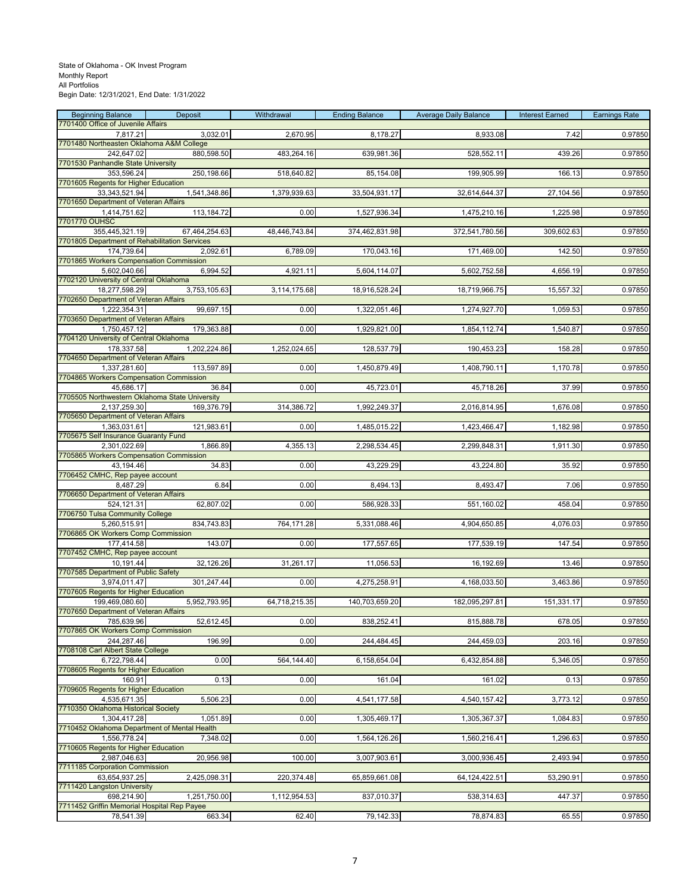| <b>Beginning Balance</b>                                    | Deposit       | Withdrawal    | <b>Ending Balance</b> | <b>Average Daily Balance</b> | <b>Interest Earned</b> | <b>Earnings Rate</b> |
|-------------------------------------------------------------|---------------|---------------|-----------------------|------------------------------|------------------------|----------------------|
| 7701400 Office of Juvenile Affairs<br>7,817.21              | 3,032.01      | 2,670.95      | 8,178.27              | 8,933.08                     | 7.42                   | 0.97850              |
| 7701480 Northeasten Oklahoma A&M College                    |               |               |                       |                              |                        |                      |
| 242,647.02                                                  | 880,598.50    | 483,264.16    | 639,981.36            | 528,552.11                   | 439.26                 | 0.97850              |
| 7701530 Panhandle State University<br>353,596.24            | 250,198.66    | 518,640.82    | 85,154.08             | 199,905.99                   | 166.13                 | 0.97850              |
| 7701605 Regents for Higher Education                        |               |               |                       |                              |                        |                      |
| 33,343,521.94                                               | 1,541,348.86  | 1,379,939.63  | 33,504,931.17         | 32,614,644.37                | 27,104.56              | 0.97850              |
| 7701650 Department of Veteran Affairs                       |               |               |                       |                              |                        |                      |
| 1,414,751.62<br>7701770 OUHSC                               | 113,184.72    | 0.00          | 1,527,936.34          | 1,475,210.16                 | 1,225.98               | 0.97850              |
| 355,445,321.19                                              | 67,464,254.63 | 48,446,743.84 | 374,462,831.98        | 372,541,780.56               | 309,602.63             | 0.97850              |
| 7701805 Department of Rehabilitation Services               |               |               |                       |                              |                        |                      |
| 174,739.64<br>7701865 Workers Compensation Commission       | 2.092.61      | 6,789.09      | 170,043.16            | 171,469.00                   | 142.50                 | 0.97850              |
| 5,602,040.66                                                | 6.994.52      | 4,921.11      | 5,604,114.07          | 5,602,752.58                 | 4,656.19               | 0.97850              |
| 7702120 University of Central Oklahoma                      |               |               |                       |                              |                        |                      |
| 18,277,598.29                                               | 3,753,105.63  | 3,114,175.68  | 18,916,528.24         | 18,719,966.75                | 15,557.32              | 0.97850              |
| 7702650 Department of Veteran Affairs<br>1,222,354.31       | 99,697.15     | 0.00          | 1,322,051.46          | 1,274,927.70                 | 1,059.53               | 0.97850              |
| 7703650 Department of Veteran Affairs                       |               |               |                       |                              |                        |                      |
| 1,750,457.12                                                | 179.363.88    | 0.00          | 1,929,821.00          | 1,854,112.74                 | 1,540.87               | 0.97850              |
| 7704120 University of Central Oklahoma<br>178,337.58        | 1,202,224.86  | 1,252,024.65  | 128,537.79            | 190,453.23                   | 158.28                 | 0.97850              |
| 7704650 Department of Veteran Affairs                       |               |               |                       |                              |                        |                      |
| 1,337,281.60                                                | 113,597.89    | 0.00          | 1,450,879.49          | 1,408,790.11                 | 1,170.78               | 0.97850              |
| 7704865 Workers Compensation Commission                     |               |               |                       |                              |                        |                      |
| 45,686.17<br>7705505 Northwestern Oklahoma State University | 36.84         | 0.00          | 45,723.01             | 45,718.26                    | 37.99                  | 0.97850              |
| 2,137,259.30                                                | 169,376.79    | 314,386.72    | 1,992,249.37          | 2,016,814.95                 | 1,676.08               | 0.97850              |
| 7705650 Department of Veteran Affairs                       |               |               |                       |                              |                        |                      |
| 1,363,031.61<br>7705675 Self Insurance Guaranty Fund        | 121,983.61    | 0.00          | 1,485,015.22          | 1,423,466.47                 | 1,182.98               | 0.97850              |
| 2,301,022.69                                                | 1,866.89      | 4,355.13      | 2,298,534.45          | 2,299,848.31                 | 1,911.30               | 0.97850              |
| 7705865 Workers Compensation Commission                     |               |               |                       |                              |                        |                      |
| 43,194.46                                                   | 34.83         | 0.00          | 43,229.29             | 43,224.80                    | 35.92                  | 0.97850              |
| 7706452 CMHC, Rep payee account<br>8,487.29                 | 6.84          | 0.00          | 8,494.13              | 8,493.47                     | 7.06                   | 0.97850              |
| 7706650 Department of Veteran Affairs                       |               |               |                       |                              |                        |                      |
| 524,121.31                                                  | 62,807.02     | 0.00          | 586,928.33            | 551,160.02                   | 458.04                 | 0.97850              |
| 7706750 Tulsa Community College                             |               |               |                       |                              |                        |                      |
| 5,260,515.91<br>7706865 OK Workers Comp Commission          | 834,743.83    | 764,171.28    | 5,331,088.46          | 4,904,650.85                 | 4,076.03               | 0.97850              |
| 177,414.58                                                  | 143.07        | 0.00          | 177,557.65            | 177,539.19                   | 147.54                 | 0.97850              |
| 7707452 CMHC, Rep payee account                             |               |               |                       |                              |                        |                      |
| 10,191.44<br>7707585 Department of Public Safety            | 32,126.26     | 31,261.17     | 11,056.53             | 16,192.69                    | 13.46                  | 0.97850              |
| 3,974,011.47                                                | 301,247.44    | 0.00          | 4,275,258.91          | 4,168,033.50                 | 3,463.86               | 0.97850              |
| 7707605 Regents for Higher Education                        |               |               |                       |                              |                        |                      |
| 199.469.080.60<br>7707650 Department of Veteran Affairs     | 5,952,793.95  | 64,718,215.35 | 140,703,659.20        | 182,095,297.81               | 151,331.17             | 0.97850              |
| 785,639.96                                                  | 52,612.45     | 0.00          | 838,252.41            | 815,888.78                   | 678.05                 | 0.97850              |
| 7707865 OK Workers Comp Commission                          |               |               |                       |                              |                        |                      |
| 244,287.46                                                  | 196.99        | 0.00          | 244,484.45            | 244,459.03                   | 203.16                 | 0.97850              |
| 7708108 Carl Albert State College<br>6.722.798.44           | 0.00          | 564,144.40    | 6,158,654.04          | 6,432,854.88                 | 5,346.05               | 0.97850              |
| 7708605 Regents for Higher Education                        |               |               |                       |                              |                        |                      |
| 160.91                                                      | 0.13          | 0.00          | 161.04                | 161.02                       | 0.13                   | 0.97850              |
| 7709605 Regents for Higher Education                        |               |               |                       |                              |                        |                      |
| 4,535,671.35<br>7710350 Oklahoma Historical Society         | 5,506.23      | 0.00          | 4,541,177.58          | 4,540,157.42                 | 3,773.12               | 0.97850              |
| 1,304,417.28                                                | 1,051.89      | 0.00          | 1,305,469.17          | 1,305,367.37                 | 1,084.83               | 0.97850              |
| 7710452 Oklahoma Department of Mental Health                |               |               |                       |                              |                        |                      |
| 1,556,778.24<br>7710605 Regents for Higher Education        | 7,348.02      | 0.00          | 1,564,126.26          | 1,560,216.41                 | 1,296.63               | 0.97850              |
| 2,987,046.63                                                | 20,956.98     | 100.00        | 3,007,903.61          | 3,000,936.45                 | 2,493.94               | 0.97850              |
| 7711185 Corporation Commission                              |               |               |                       |                              |                        |                      |
| 63,654,937.25                                               | 2,425,098.31  | 220,374.48    | 65,859,661.08         | 64,124,422.51                | 53,290.91              | 0.97850              |
| 7711420 Langston University<br>698,214.90                   | 1,251,750.00  | 1,112,954.53  | 837,010.37            | 538,314.63                   | 447.37                 | 0.97850              |
| 7711452 Griffin Memorial Hospital Rep Payee                 |               |               |                       |                              |                        |                      |
| 78,541.39                                                   | 663.34        | 62.40         | 79,142.33             | 78,874.83                    | 65.55                  | 0.97850              |